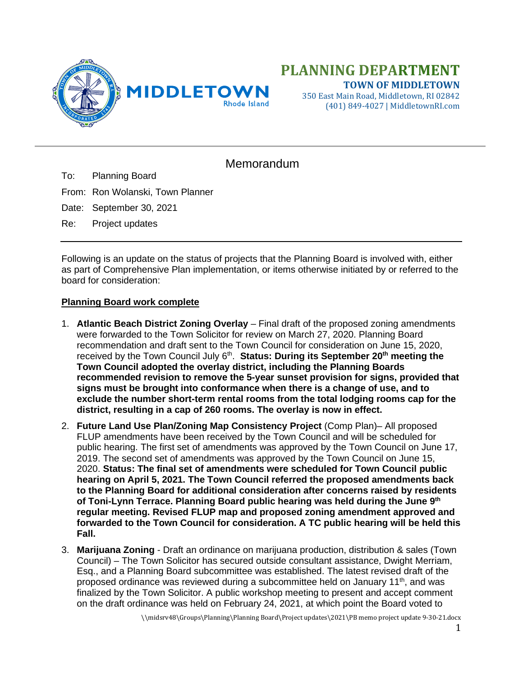

350 East Main Road, Middletown, RI 02842 (401) 849-4027 | MiddletownRI.com

## Memorandum

To: Planning Board

From: Ron Wolanski, Town Planner

Date: September 30, 2021

Re: Project updates

Following is an update on the status of projects that the Planning Board is involved with, either as part of Comprehensive Plan implementation, or items otherwise initiated by or referred to the board for consideration:

## **Planning Board work complete**

- 1. **Atlantic Beach District Zoning Overlay** Final draft of the proposed zoning amendments were forwarded to the Town Solicitor for review on March 27, 2020. Planning Board recommendation and draft sent to the Town Council for consideration on June 15, 2020, received by the Town Council July 6<sup>th</sup>. **Status: During its September 20<sup>th</sup> meeting the Town Council adopted the overlay district, including the Planning Boards recommended revision to remove the 5-year sunset provision for signs, provided that signs must be brought into conformance when there is a change of use, and to exclude the number short-term rental rooms from the total lodging rooms cap for the district, resulting in a cap of 260 rooms. The overlay is now in effect.**
- 2. **Future Land Use Plan/Zoning Map Consistency Project** (Comp Plan)– All proposed FLUP amendments have been received by the Town Council and will be scheduled for public hearing. The first set of amendments was approved by the Town Council on June 17, 2019. The second set of amendments was approved by the Town Council on June 15, 2020. **Status: The final set of amendments were scheduled for Town Council public hearing on April 5, 2021. The Town Council referred the proposed amendments back to the Planning Board for additional consideration after concerns raised by residents of Toni-Lynn Terrace. Planning Board public hearing was held during the June 9th regular meeting. Revised FLUP map and proposed zoning amendment approved and forwarded to the Town Council for consideration. A TC public hearing will be held this Fall.**
- 3. **Marijuana Zoning** Draft an ordinance on marijuana production, distribution & sales (Town Council) – The Town Solicitor has secured outside consultant assistance, Dwight Merriam, Esq., and a Planning Board subcommittee was established. The latest revised draft of the proposed ordinance was reviewed during a subcommittee held on January  $11<sup>th</sup>$ , and was finalized by the Town Solicitor. A public workshop meeting to present and accept comment on the draft ordinance was held on February 24, 2021, at which point the Board voted to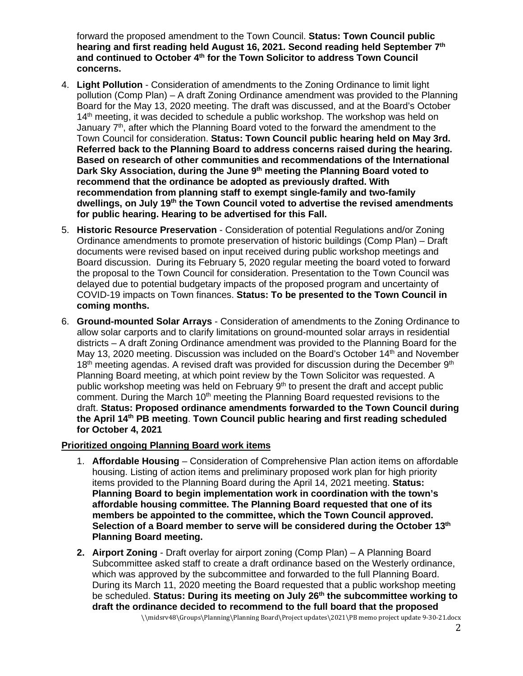forward the proposed amendment to the Town Council. **Status: Town Council public hearing and first reading held August 16, 2021. Second reading held September 7th and continued to October 4th for the Town Solicitor to address Town Council concerns.**

- 4. **Light Pollution** Consideration of amendments to the Zoning Ordinance to limit light pollution (Comp Plan) – A draft Zoning Ordinance amendment was provided to the Planning Board for the May 13, 2020 meeting. The draft was discussed, and at the Board's October 14<sup>th</sup> meeting, it was decided to schedule a public workshop. The workshop was held on January  $7<sup>th</sup>$ , after which the Planning Board voted to the forward the amendment to the Town Council for consideration. **Status: Town Council public hearing held on May 3rd. Referred back to the Planning Board to address concerns raised during the hearing. Based on research of other communities and recommendations of the International Dark Sky Association, during the June 9th meeting the Planning Board voted to recommend that the ordinance be adopted as previously drafted. With recommendation from planning staff to exempt single-family and two-family dwellings, on July 19th the Town Council voted to advertise the revised amendments for public hearing. Hearing to be advertised for this Fall.**
- 5. **Historic Resource Preservation** Consideration of potential Regulations and/or Zoning Ordinance amendments to promote preservation of historic buildings (Comp Plan) – Draft documents were revised based on input received during public workshop meetings and Board discussion. During its February 5, 2020 regular meeting the board voted to forward the proposal to the Town Council for consideration. Presentation to the Town Council was delayed due to potential budgetary impacts of the proposed program and uncertainty of COVID-19 impacts on Town finances. **Status: To be presented to the Town Council in coming months.**
- 6. **Ground-mounted Solar Arrays** Consideration of amendments to the Zoning Ordinance to allow solar carports and to clarify limitations on ground-mounted solar arrays in residential districts – A draft Zoning Ordinance amendment was provided to the Planning Board for the May 13, 2020 meeting. Discussion was included on the Board's October 14<sup>th</sup> and November  $18<sup>th</sup>$  meeting agendas. A revised draft was provided for discussion during the December  $9<sup>th</sup>$ Planning Board meeting, at which point review by the Town Solicitor was requested. A public workshop meeting was held on February 9<sup>th</sup> to present the draft and accept public comment. During the March  $10<sup>th</sup>$  meeting the Planning Board requested revisions to the draft. **Status: Proposed ordinance amendments forwarded to the Town Council during the April 14th PB meeting**. **Town Council public hearing and first reading scheduled for October 4, 2021**

## **Prioritized ongoing Planning Board work items**

- 1. **Affordable Housing** Consideration of Comprehensive Plan action items on affordable housing. Listing of action items and preliminary proposed work plan for high priority items provided to the Planning Board during the April 14, 2021 meeting. **Status: Planning Board to begin implementation work in coordination with the town's affordable housing committee. The Planning Board requested that one of its members be appointed to the committee, which the Town Council approved. Selection of a Board member to serve will be considered during the October 13th Planning Board meeting.**
- **2. Airport Zoning** Draft overlay for airport zoning (Comp Plan) A Planning Board Subcommittee asked staff to create a draft ordinance based on the Westerly ordinance, which was approved by the subcommittee and forwarded to the full Planning Board. During its March 11, 2020 meeting the Board requested that a public workshop meeting be scheduled. **Status: During its meeting on July 26th the subcommittee working to draft the ordinance decided to recommend to the full board that the proposed**